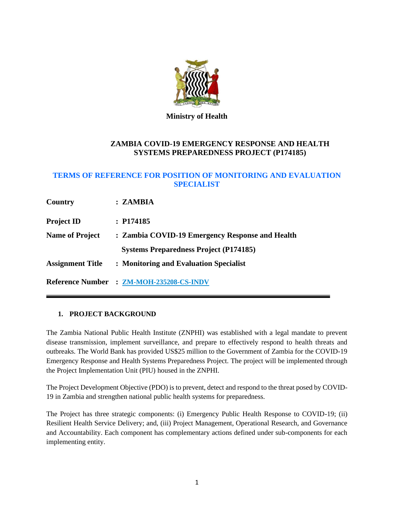

**Ministry of Health**

# **ZAMBIA COVID-19 EMERGENCY RESPONSE AND HEALTH SYSTEMS PREPAREDNESS PROJECT (P174185)**

# **TERMS OF REFERENCE FOR POSITION OF MONITORING AND EVALUATION SPECIALIST**

| Country                 | : ZAMBIA                                        |
|-------------------------|-------------------------------------------------|
| <b>Project ID</b>       | : P174185                                       |
| <b>Name of Project</b>  | : Zambia COVID-19 Emergency Response and Health |
|                         | <b>Systems Preparedness Project (P174185)</b>   |
| <b>Assignment Title</b> | : Monitoring and Evaluation Specialist          |
|                         | Reference Number : ZM-MOH-235208-CS-INDV        |

# **1. PROJECT BACKGROUND**

The Zambia National Public Health Institute (ZNPHI) was established with a legal mandate to prevent disease transmission, implement surveillance, and prepare to effectively respond to health threats and outbreaks. The World Bank has provided US\$25 million to the Government of Zambia for the COVID-19 Emergency Response and Health Systems Preparedness Project. The project will be implemented through the Project Implementation Unit (PIU) housed in the ZNPHI.

The Project Development Objective (PDO) is to prevent, detect and respond to the threat posed by COVID-19 in Zambia and strengthen national public health systems for preparedness.

The Project has three strategic components: (i) Emergency Public Health Response to COVID-19; (ii) Resilient Health Service Delivery; and, (iii) Project Management, Operational Research, and Governance and Accountability. Each component has complementary actions defined under sub-components for each implementing entity.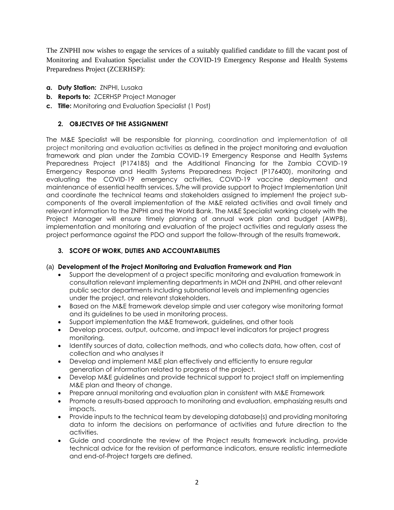The ZNPHI now wishes to engage the services of a suitably qualified candidate to fill the vacant post of Monitoring and Evaluation Specialist under the COVID-19 Emergency Response and Health Systems Preparedness Project (ZCERHSP):

- **a. Duty Station:** ZNPHI, Lusaka
- **b. Reports to:** ZCERHSP Project Manager
- **c. Title:** Monitoring and Evaluation Specialist (1 Post)

# **2. OBJECTVES OF THE ASSIGNMENT**

The M&E Specialist will be responsible for planning, coordination and implementation of all project monitoring and evaluation activities as defined in the project monitoring and evaluation framework and plan under the Zambia COVID-19 Emergency Response and Health Systems Preparedness Project (P174185) and the Additional Financing for the Zambia COVID-19 Emergency Response and Health Systems Preparedness Project (P176400), monitoring and evaluating the COVID-19 emergency activities, COVID-19 vaccine deployment and maintenance of essential health services. S/he will provide support to Project Implementation Unit and coordinate the technical teams and stakeholders assigned to implement the project subcomponents of the overall implementation of the M&E related activities and avail timely and relevant information to the ZNPHI and the World Bank. The M&E Specialist working closely with the Project Manager will ensure timely planning of annual work plan and budget (AWPB), implementation and monitoring and evaluation of the project activities and regularly assess the project performance against the PDO and support the follow-through of the results framework.

### **3. SCOPE OF WORK, DUTIES AND ACCOUNTABILITIES**

#### (a) **Development of the Project Monitoring and Evaluation Framework and Plan**

- Support the development of a project specific monitoring and evaluation framework in consultation relevant implementing departments in MOH and ZNPHI, and other relevant public sector departments including subnational levels and implementing agencies under the project, and relevant stakeholders.
- Based on the M&E framework develop simple and user category wise monitoring format and its guidelines to be used in monitoring process.
- Support implementation the M&E framework, guidelines, and other tools
- Develop process, output, outcome, and impact level indicators for project progress monitoring.
- Identify sources of data, collection methods, and who collects data, how often, cost of collection and who analyses it
- Develop and implement M&E plan effectively and efficiently to ensure regular generation of information related to progress of the project.
- Develop M&E guidelines and provide technical support to project staff on implementing M&E plan and theory of change.
- Prepare annual monitoring and evaluation plan in consistent with M&E Framework
- Promote a results-based approach to monitoring and evaluation, emphasizing results and impacts.
- Provide inputs to the technical team by developing database(s) and providing monitoring data to inform the decisions on performance of activities and future direction to the activities.
- Guide and coordinate the review of the Project results framework including, provide technical advice for the revision of performance indicators, ensure realistic intermediate and end-of-Project targets are defined.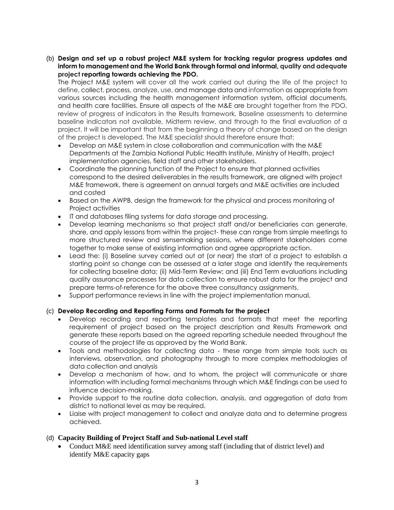(b) **Design and set up a robust project M&E system for tracking regular progress updates and inform to management and the World Bank through formal and informal, quality and adequate project reporting towards achieving the PDO.** 

The Project M&E system will cover all the work carried out during the life of the project to define, collect, process, analyze, use, and manage data and information as appropriate from various sources including the health management information system, official documents, and health care facilities. Ensure all aspects of the M&E are brought together from the PDO, review of progress of indicators in the Results framework, Baseline assessments to determine baseline indicators not available, Midterm review, and through to the final evaluation of a project. It will be important that from the beginning a theory of change based on the design of the project is developed. The M&E specialist should therefore ensure that:

- Develop an M&E system in close collaboration and communication with the M&E Departments at the Zambia National Public Health Institute, Ministry of Health, project implementation agencies, field staff and other stakeholders.
- Coordinate the planning function of the Project to ensure that planned activities correspond to the desired deliverables in the results framework, are aligned with project M&E framework, there is agreement on annual targets and M&E activities are included and costed
- Based on the AWPB, design the framework for the physical and process monitoring of Project activities
- IT and databases filing systems for data storage and processing.
- Develop learning mechanisms so that project staff and/or beneficiaries can generate, share, and apply lessons from within the project- these can range from simple meetings to more structured review and sensemaking sessions, where different stakeholders come together to make sense of existing information and agree appropriate action.
- Lead the: (i) Baseline survey carried out at (or near) the start of a project to establish a starting point so change can be assessed at a later stage and identify the requirements for collecting baseline data; (ii) Mid-Term Review; and (iii) End Term evaluations including quality assurance processes for data collection to ensure robust data for the project and prepare terms-of-reference for the above three consultancy assignments.
- Support performance reviews in line with the project implementation manual.

#### (c) **Develop Recording and Reporting Forms and Formats for the project**

- Develop recording and reporting templates and formats that meet the reporting requirement of project based on the project description and Results Framework and generate these reports based on the agreed reporting schedule needed throughout the course of the project life as approved by the World Bank.
- Tools and methodologies for collecting data these range from simple tools such as interviews, observation, and photography through to more complex methodologies of data collection and analysis
- Develop a mechanism of how, and to whom, the project will communicate or share information with including formal mechanisms through which M&E findings can be used to influence decision-making.
- Provide support to the routine data collection, analysis, and aggregation of data from district to national level as may be required.
- Liaise with project management to collect and analyze data and to determine progress achieved.

# (d) **Capacity Building of Project Staff and Sub-national Level staff**

• Conduct M&E need identification survey among staff (including that of district level) and identify M&E capacity gaps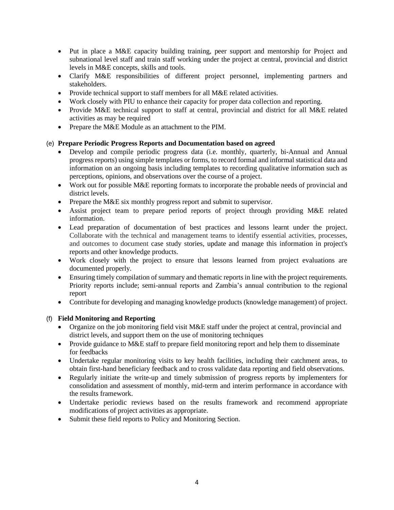- Put in place a M&E capacity building training, peer support and mentorship for Project and subnational level staff and train staff working under the project at central, provincial and district levels in M&E concepts, skills and tools.
- Clarify M&E responsibilities of different project personnel, implementing partners and stakeholders.
- Provide technical support to staff members for all M&E related activities.
- Work closely with PIU to enhance their capacity for proper data collection and reporting.
- Provide M&E technical support to staff at central, provincial and district for all M&E related activities as may be required
- Prepare the M&E Module as an attachment to the PIM.

#### (e) **Prepare Periodic Progress Reports and Documentation based on agreed**

- Develop and compile periodic progress data (i.e. monthly, quarterly, bi-Annual and Annual progress reports) using simple templates or forms, to record formal and informal statistical data and information on an ongoing basis including templates to recording qualitative information such as perceptions, opinions, and observations over the course of a project.
- Work out for possible M&E reporting formats to incorporate the probable needs of provincial and district levels.
- Prepare the M&E six monthly progress report and submit to supervisor.
- Assist project team to prepare period reports of project through providing M&E related information.
- Lead preparation of documentation of best practices and lessons learnt under the project. Collaborate with the technical and management teams to identify essential activities, processes, and outcomes to document case study stories, update and manage this information in project's reports and other knowledge products.
- Work closely with the project to ensure that lessons learned from project evaluations are documented properly.
- Ensuring timely compilation of summary and thematic reports in line with the project requirements. Priority reports include; semi-annual reports and Zambia's annual contribution to the regional report
- Contribute for developing and managing knowledge products (knowledge management) of project.

### (f) **Field Monitoring and Reporting**

- Organize on the job monitoring field visit M&E staff under the project at central, provincial and district levels, and support them on the use of monitoring techniques
- Provide guidance to M&E staff to prepare field monitoring report and help them to disseminate for feedbacks
- Undertake regular monitoring visits to key health facilities, including their catchment areas, to obtain first-hand beneficiary feedback and to cross validate data reporting and field observations.
- Regularly initiate the write-up and timely submission of progress reports by implementers for consolidation and assessment of monthly, mid-term and interim performance in accordance with the results framework.
- Undertake periodic reviews based on the results framework and recommend appropriate modifications of project activities as appropriate.
- Submit these field reports to Policy and Monitoring Section.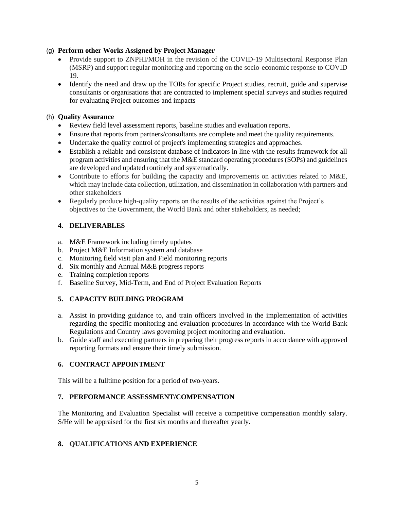### (g) **Perform other Works Assigned by Project Manager**

- Provide support to ZNPHI/MOH in the revision of the COVID-19 Multisectoral Response Plan (MSRP) and support regular monitoring and reporting on the socio-economic response to COVID 19.
- Identify the need and draw up the TORs for specific Project studies, recruit, guide and supervise consultants or organisations that are contracted to implement special surveys and studies required for evaluating Project outcomes and impacts

## (h) **Quality Assurance**

- Review field level assessment reports, baseline studies and evaluation reports.
- Ensure that reports from partners/consultants are complete and meet the quality requirements.
- Undertake the quality control of project's implementing strategies and approaches.
- Establish a reliable and consistent database of indicators in line with the results framework for all program activities and ensuring that the M&E standard operating procedures (SOPs) and guidelines are developed and updated routinely and systematically.
- Contribute to efforts for building the capacity and improvements on activities related to M&E, which may include data collection, utilization, and dissemination in collaboration with partners and other stakeholders
- Regularly produce high-quality reports on the results of the activities against the Project's objectives to the Government, the World Bank and other stakeholders, as needed;

### **4. DELIVERABLES**

- a. M&E Framework including timely updates
- b. Project M&E Information system and database
- c. Monitoring field visit plan and Field monitoring reports
- d. Six monthly and Annual M&E progress reports
- e. Training completion reports
- f. Baseline Survey, Mid-Term, and End of Project Evaluation Reports

# **5. CAPACITY BUILDING PROGRAM**

- a. Assist in providing guidance to, and train officers involved in the implementation of activities regarding the specific monitoring and evaluation procedures in accordance with the World Bank Regulations and Country laws governing project monitoring and evaluation.
- b. Guide staff and executing partners in preparing their progress reports in accordance with approved reporting formats and ensure their timely submission.

#### **6. CONTRACT APPOINTMENT**

This will be a fulltime position for a period of two-years.

# **7. PERFORMANCE ASSESSMENT/COMPENSATION**

The Monitoring and Evaluation Specialist will receive a competitive compensation monthly salary. S/He will be appraised for the first six months and thereafter yearly.

# **8. QUALIFICATIONS AND EXPERIENCE**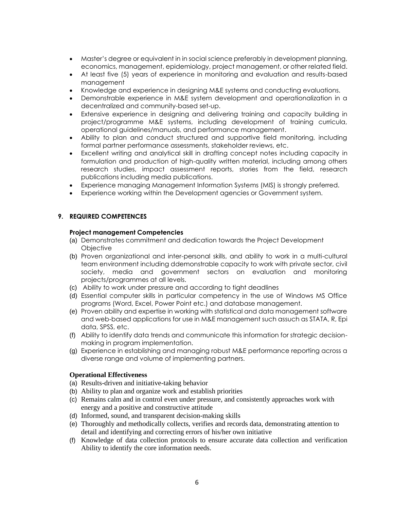- Master's degree or equivalent in in social science preferably in development planning, economics, management, epidemiology, project management, or other related field.
- At least five (5) years of experience in monitoring and evaluation and results-based management
- Knowledge and experience in designing M&E systems and conducting evaluations.
- Demonstrable experience in M&E system development and operationalization in a decentralized and community-based set-up.
- Extensive experience in designing and delivering training and capacity building in project/programme M&E systems, including development of training curricula, operational guidelines/manuals, and performance management.
- Ability to plan and conduct structured and supportive field monitoring, including formal partner performance assessments, stakeholder reviews, etc.
- Excellent writing and analytical skill in drafting concept notes including capacity in formulation and production of high-quality written material, including among others research studies, impact assessment reports, stories from the field, research publications including media publications.
- Experience managing Management Information Systems (MIS) is strongly preferred.
- Experience working within the Development agencies or Government system.

### **9. REQUIRED COMPETENCES**

#### **Project management Competencies**

- (a) Demonstrates commitment and dedication towards the Project Development **Objective**
- (b) Proven organizational and inter-personal skills, and ability to work in a multi-cultural team environment including ddemonstrable capacity to work with private sector, civil society, media and government sectors on evaluation and monitoring projects/programmes at all levels.
- (c) Ability to work under pressure and according to tight deadlines
- (d) Essential computer skills in particular competency in the use of Windows MS Office programs (Word, Excel, Power Point etc.) and database management.
- (e) Proven ability and expertise in working with statistical and data management software and web-based applications for use in M&E management such assuch as STATA, R, Epi data, SPSS, etc.
- (f) Ability to identify data trends and communicate this information for strategic decisionmaking in program implementation.
- (g) Experience in establishing and managing robust M&E performance reporting across a diverse range and volume of implementing partners.

#### **Operational Effectiveness**

- (a) Results-driven and initiative-taking behavior
- (b) Ability to plan and organize work and establish priorities
- (c) Remains calm and in control even under pressure, and consistently approaches work with energy and a positive and constructive attitude
- (d) Informed, sound, and transparent decision-making skills
- (e) Thoroughly and methodically collects, verifies and records data, demonstrating attention to detail and identifying and correcting errors of his/her own initiative
- (f) Knowledge of data collection protocols to ensure accurate data collection and verification Ability to identify the core information needs.